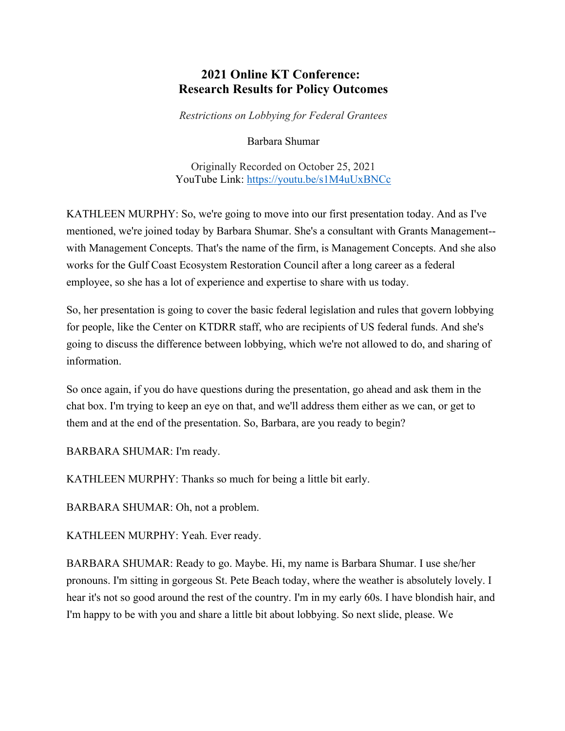## **2021 Online KT Conference: Research Results for Policy Outcomes**

*Restrictions on Lobbying for Federal Grantees*

Barbara Shumar

Originally Recorded on October 25, 2021 YouTube Link: <https://youtu.be/s1M4uUxBNCc>

KATHLEEN MURPHY: So, we're going to move into our first presentation today. And as I've mentioned, we're joined today by Barbara Shumar. She's a consultant with Grants Management- with Management Concepts. That's the name of the firm, is Management Concepts. And she also works for the Gulf Coast Ecosystem Restoration Council after a long career as a federal employee, so she has a lot of experience and expertise to share with us today.

So, her presentation is going to cover the basic federal legislation and rules that govern lobbying for people, like the Center on KTDRR staff, who are recipients of US federal funds. And she's going to discuss the difference between lobbying, which we're not allowed to do, and sharing of information.

So once again, if you do have questions during the presentation, go ahead and ask them in the chat box. I'm trying to keep an eye on that, and we'll address them either as we can, or get to them and at the end of the presentation. So, Barbara, are you ready to begin?

BARBARA SHUMAR: I'm ready.

KATHLEEN MURPHY: Thanks so much for being a little bit early.

BARBARA SHUMAR: Oh, not a problem.

KATHLEEN MURPHY: Yeah. Ever ready.

BARBARA SHUMAR: Ready to go. Maybe. Hi, my name is Barbara Shumar. I use she/her pronouns. I'm sitting in gorgeous St. Pete Beach today, where the weather is absolutely lovely. I hear it's not so good around the rest of the country. I'm in my early 60s. I have blondish hair, and I'm happy to be with you and share a little bit about lobbying. So next slide, please. We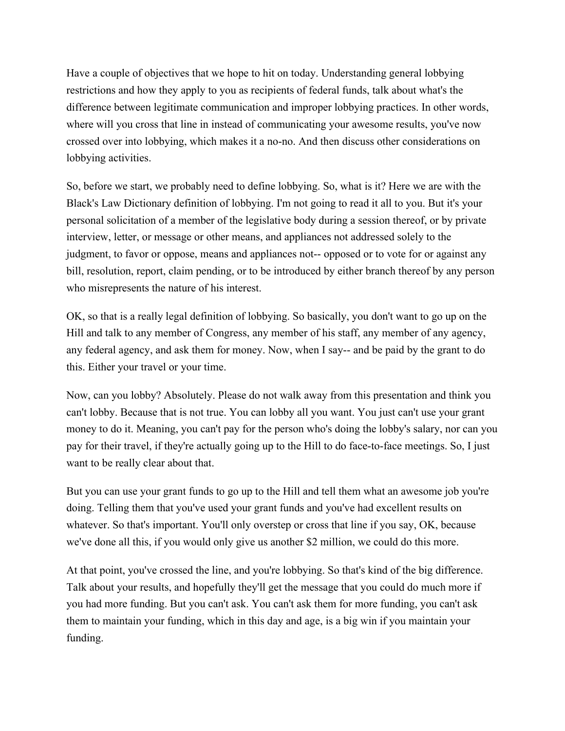Have a couple of objectives that we hope to hit on today. Understanding general lobbying restrictions and how they apply to you as recipients of federal funds, talk about what's the difference between legitimate communication and improper lobbying practices. In other words, where will you cross that line in instead of communicating your awesome results, you've now crossed over into lobbying, which makes it a no-no. And then discuss other considerations on lobbying activities.

So, before we start, we probably need to define lobbying. So, what is it? Here we are with the Black's Law Dictionary definition of lobbying. I'm not going to read it all to you. But it's your personal solicitation of a member of the legislative body during a session thereof, or by private interview, letter, or message or other means, and appliances not addressed solely to the judgment, to favor or oppose, means and appliances not-- opposed or to vote for or against any bill, resolution, report, claim pending, or to be introduced by either branch thereof by any person who misrepresents the nature of his interest.

OK, so that is a really legal definition of lobbying. So basically, you don't want to go up on the Hill and talk to any member of Congress, any member of his staff, any member of any agency, any federal agency, and ask them for money. Now, when I say-- and be paid by the grant to do this. Either your travel or your time.

Now, can you lobby? Absolutely. Please do not walk away from this presentation and think you can't lobby. Because that is not true. You can lobby all you want. You just can't use your grant money to do it. Meaning, you can't pay for the person who's doing the lobby's salary, nor can you pay for their travel, if they're actually going up to the Hill to do face-to-face meetings. So, I just want to be really clear about that.

But you can use your grant funds to go up to the Hill and tell them what an awesome job you're doing. Telling them that you've used your grant funds and you've had excellent results on whatever. So that's important. You'll only overstep or cross that line if you say, OK, because we've done all this, if you would only give us another \$2 million, we could do this more.

At that point, you've crossed the line, and you're lobbying. So that's kind of the big difference. Talk about your results, and hopefully they'll get the message that you could do much more if you had more funding. But you can't ask. You can't ask them for more funding, you can't ask them to maintain your funding, which in this day and age, is a big win if you maintain your funding.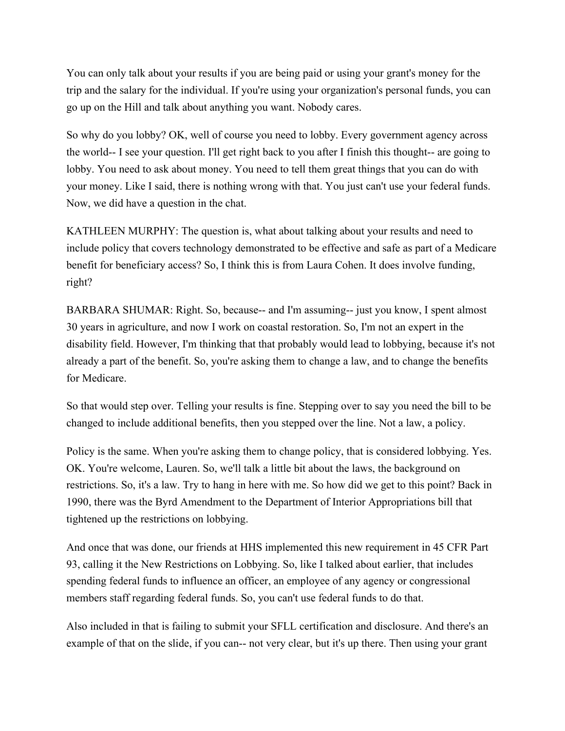You can only talk about your results if you are being paid or using your grant's money for the trip and the salary for the individual. If you're using your organization's personal funds, you can go up on the Hill and talk about anything you want. Nobody cares.

So why do you lobby? OK, well of course you need to lobby. Every government agency across the world-- I see your question. I'll get right back to you after I finish this thought-- are going to lobby. You need to ask about money. You need to tell them great things that you can do with your money. Like I said, there is nothing wrong with that. You just can't use your federal funds. Now, we did have a question in the chat.

KATHLEEN MURPHY: The question is, what about talking about your results and need to include policy that covers technology demonstrated to be effective and safe as part of a Medicare benefit for beneficiary access? So, I think this is from Laura Cohen. It does involve funding, right?

BARBARA SHUMAR: Right. So, because-- and I'm assuming-- just you know, I spent almost 30 years in agriculture, and now I work on coastal restoration. So, I'm not an expert in the disability field. However, I'm thinking that that probably would lead to lobbying, because it's not already a part of the benefit. So, you're asking them to change a law, and to change the benefits for Medicare.

So that would step over. Telling your results is fine. Stepping over to say you need the bill to be changed to include additional benefits, then you stepped over the line. Not a law, a policy.

Policy is the same. When you're asking them to change policy, that is considered lobbying. Yes. OK. You're welcome, Lauren. So, we'll talk a little bit about the laws, the background on restrictions. So, it's a law. Try to hang in here with me. So how did we get to this point? Back in 1990, there was the Byrd Amendment to the Department of Interior Appropriations bill that tightened up the restrictions on lobbying.

And once that was done, our friends at HHS implemented this new requirement in 45 CFR Part 93, calling it the New Restrictions on Lobbying. So, like I talked about earlier, that includes spending federal funds to influence an officer, an employee of any agency or congressional members staff regarding federal funds. So, you can't use federal funds to do that.

Also included in that is failing to submit your SFLL certification and disclosure. And there's an example of that on the slide, if you can-- not very clear, but it's up there. Then using your grant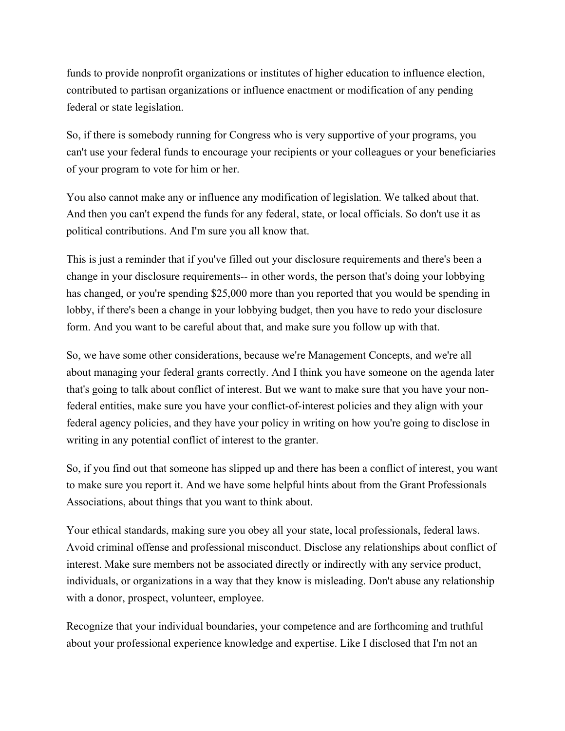funds to provide nonprofit organizations or institutes of higher education to influence election, contributed to partisan organizations or influence enactment or modification of any pending federal or state legislation.

So, if there is somebody running for Congress who is very supportive of your programs, you can't use your federal funds to encourage your recipients or your colleagues or your beneficiaries of your program to vote for him or her.

You also cannot make any or influence any modification of legislation. We talked about that. And then you can't expend the funds for any federal, state, or local officials. So don't use it as political contributions. And I'm sure you all know that.

This is just a reminder that if you've filled out your disclosure requirements and there's been a change in your disclosure requirements-- in other words, the person that's doing your lobbying has changed, or you're spending \$25,000 more than you reported that you would be spending in lobby, if there's been a change in your lobbying budget, then you have to redo your disclosure form. And you want to be careful about that, and make sure you follow up with that.

So, we have some other considerations, because we're Management Concepts, and we're all about managing your federal grants correctly. And I think you have someone on the agenda later that's going to talk about conflict of interest. But we want to make sure that you have your nonfederal entities, make sure you have your conflict-of-interest policies and they align with your federal agency policies, and they have your policy in writing on how you're going to disclose in writing in any potential conflict of interest to the granter.

So, if you find out that someone has slipped up and there has been a conflict of interest, you want to make sure you report it. And we have some helpful hints about from the Grant Professionals Associations, about things that you want to think about.

Your ethical standards, making sure you obey all your state, local professionals, federal laws. Avoid criminal offense and professional misconduct. Disclose any relationships about conflict of interest. Make sure members not be associated directly or indirectly with any service product, individuals, or organizations in a way that they know is misleading. Don't abuse any relationship with a donor, prospect, volunteer, employee.

Recognize that your individual boundaries, your competence and are forthcoming and truthful about your professional experience knowledge and expertise. Like I disclosed that I'm not an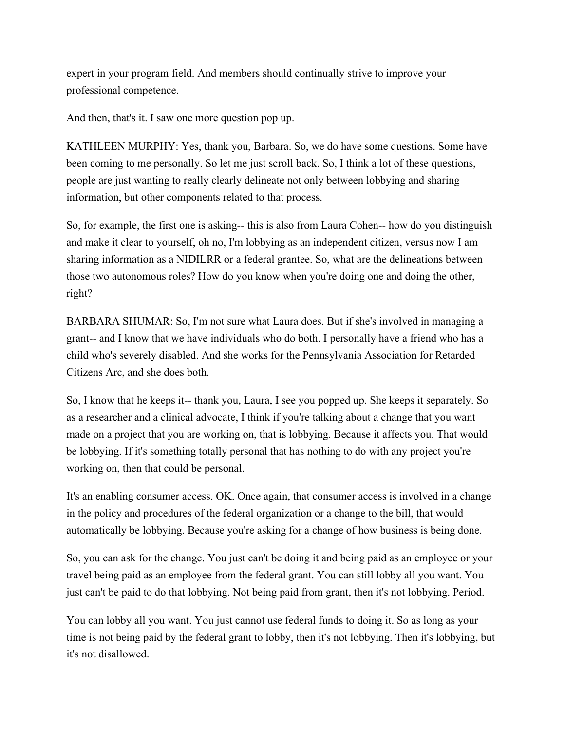expert in your program field. And members should continually strive to improve your professional competence.

And then, that's it. I saw one more question pop up.

KATHLEEN MURPHY: Yes, thank you, Barbara. So, we do have some questions. Some have been coming to me personally. So let me just scroll back. So, I think a lot of these questions, people are just wanting to really clearly delineate not only between lobbying and sharing information, but other components related to that process.

So, for example, the first one is asking-- this is also from Laura Cohen-- how do you distinguish and make it clear to yourself, oh no, I'm lobbying as an independent citizen, versus now I am sharing information as a NIDILRR or a federal grantee. So, what are the delineations between those two autonomous roles? How do you know when you're doing one and doing the other, right?

BARBARA SHUMAR: So, I'm not sure what Laura does. But if she's involved in managing a grant-- and I know that we have individuals who do both. I personally have a friend who has a child who's severely disabled. And she works for the Pennsylvania Association for Retarded Citizens Arc, and she does both.

So, I know that he keeps it-- thank you, Laura, I see you popped up. She keeps it separately. So as a researcher and a clinical advocate, I think if you're talking about a change that you want made on a project that you are working on, that is lobbying. Because it affects you. That would be lobbying. If it's something totally personal that has nothing to do with any project you're working on, then that could be personal.

It's an enabling consumer access. OK. Once again, that consumer access is involved in a change in the policy and procedures of the federal organization or a change to the bill, that would automatically be lobbying. Because you're asking for a change of how business is being done.

So, you can ask for the change. You just can't be doing it and being paid as an employee or your travel being paid as an employee from the federal grant. You can still lobby all you want. You just can't be paid to do that lobbying. Not being paid from grant, then it's not lobbying. Period.

You can lobby all you want. You just cannot use federal funds to doing it. So as long as your time is not being paid by the federal grant to lobby, then it's not lobbying. Then it's lobbying, but it's not disallowed.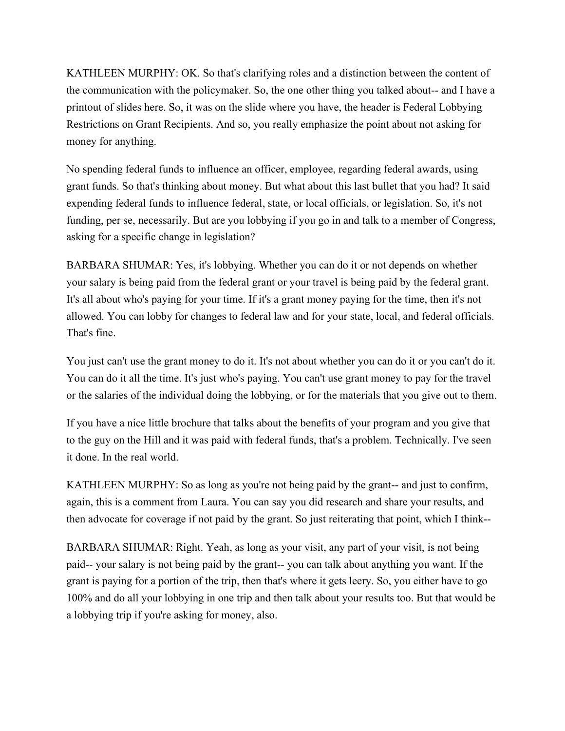KATHLEEN MURPHY: OK. So that's clarifying roles and a distinction between the content of the communication with the policymaker. So, the one other thing you talked about-- and I have a printout of slides here. So, it was on the slide where you have, the header is Federal Lobbying Restrictions on Grant Recipients. And so, you really emphasize the point about not asking for money for anything.

No spending federal funds to influence an officer, employee, regarding federal awards, using grant funds. So that's thinking about money. But what about this last bullet that you had? It said expending federal funds to influence federal, state, or local officials, or legislation. So, it's not funding, per se, necessarily. But are you lobbying if you go in and talk to a member of Congress, asking for a specific change in legislation?

BARBARA SHUMAR: Yes, it's lobbying. Whether you can do it or not depends on whether your salary is being paid from the federal grant or your travel is being paid by the federal grant. It's all about who's paying for your time. If it's a grant money paying for the time, then it's not allowed. You can lobby for changes to federal law and for your state, local, and federal officials. That's fine.

You just can't use the grant money to do it. It's not about whether you can do it or you can't do it. You can do it all the time. It's just who's paying. You can't use grant money to pay for the travel or the salaries of the individual doing the lobbying, or for the materials that you give out to them.

If you have a nice little brochure that talks about the benefits of your program and you give that to the guy on the Hill and it was paid with federal funds, that's a problem. Technically. I've seen it done. In the real world.

KATHLEEN MURPHY: So as long as you're not being paid by the grant-- and just to confirm, again, this is a comment from Laura. You can say you did research and share your results, and then advocate for coverage if not paid by the grant. So just reiterating that point, which I think--

BARBARA SHUMAR: Right. Yeah, as long as your visit, any part of your visit, is not being paid-- your salary is not being paid by the grant-- you can talk about anything you want. If the grant is paying for a portion of the trip, then that's where it gets leery. So, you either have to go 100% and do all your lobbying in one trip and then talk about your results too. But that would be a lobbying trip if you're asking for money, also.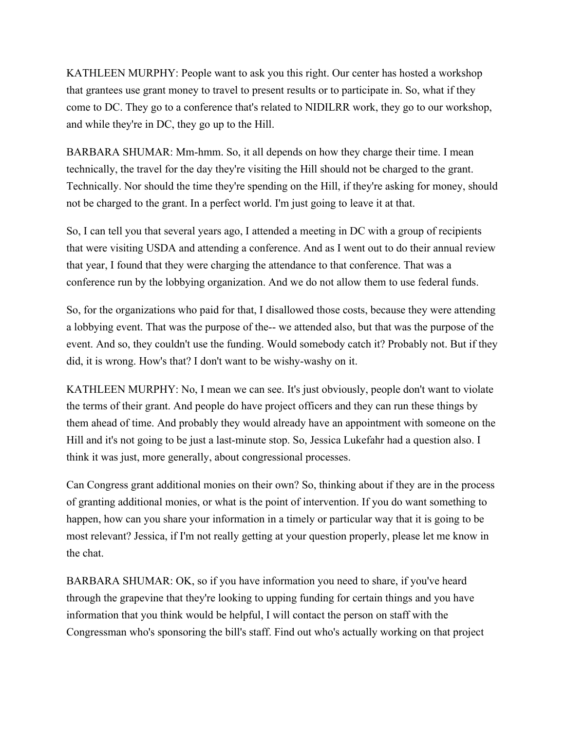KATHLEEN MURPHY: People want to ask you this right. Our center has hosted a workshop that grantees use grant money to travel to present results or to participate in. So, what if they come to DC. They go to a conference that's related to NIDILRR work, they go to our workshop, and while they're in DC, they go up to the Hill.

BARBARA SHUMAR: Mm-hmm. So, it all depends on how they charge their time. I mean technically, the travel for the day they're visiting the Hill should not be charged to the grant. Technically. Nor should the time they're spending on the Hill, if they're asking for money, should not be charged to the grant. In a perfect world. I'm just going to leave it at that.

So, I can tell you that several years ago, I attended a meeting in DC with a group of recipients that were visiting USDA and attending a conference. And as I went out to do their annual review that year, I found that they were charging the attendance to that conference. That was a conference run by the lobbying organization. And we do not allow them to use federal funds.

So, for the organizations who paid for that, I disallowed those costs, because they were attending a lobbying event. That was the purpose of the-- we attended also, but that was the purpose of the event. And so, they couldn't use the funding. Would somebody catch it? Probably not. But if they did, it is wrong. How's that? I don't want to be wishy-washy on it.

KATHLEEN MURPHY: No, I mean we can see. It's just obviously, people don't want to violate the terms of their grant. And people do have project officers and they can run these things by them ahead of time. And probably they would already have an appointment with someone on the Hill and it's not going to be just a last-minute stop. So, Jessica Lukefahr had a question also. I think it was just, more generally, about congressional processes.

Can Congress grant additional monies on their own? So, thinking about if they are in the process of granting additional monies, or what is the point of intervention. If you do want something to happen, how can you share your information in a timely or particular way that it is going to be most relevant? Jessica, if I'm not really getting at your question properly, please let me know in the chat.

BARBARA SHUMAR: OK, so if you have information you need to share, if you've heard through the grapevine that they're looking to upping funding for certain things and you have information that you think would be helpful, I will contact the person on staff with the Congressman who's sponsoring the bill's staff. Find out who's actually working on that project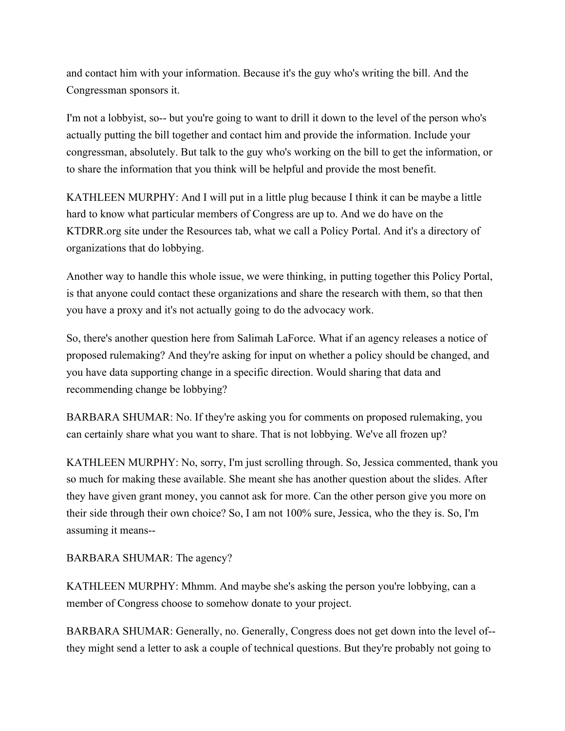and contact him with your information. Because it's the guy who's writing the bill. And the Congressman sponsors it.

I'm not a lobbyist, so-- but you're going to want to drill it down to the level of the person who's actually putting the bill together and contact him and provide the information. Include your congressman, absolutely. But talk to the guy who's working on the bill to get the information, or to share the information that you think will be helpful and provide the most benefit.

KATHLEEN MURPHY: And I will put in a little plug because I think it can be maybe a little hard to know what particular members of Congress are up to. And we do have on the KTDRR.org site under the Resources tab, what we call a Policy Portal. And it's a directory of organizations that do lobbying.

Another way to handle this whole issue, we were thinking, in putting together this Policy Portal, is that anyone could contact these organizations and share the research with them, so that then you have a proxy and it's not actually going to do the advocacy work.

So, there's another question here from Salimah LaForce. What if an agency releases a notice of proposed rulemaking? And they're asking for input on whether a policy should be changed, and you have data supporting change in a specific direction. Would sharing that data and recommending change be lobbying?

BARBARA SHUMAR: No. If they're asking you for comments on proposed rulemaking, you can certainly share what you want to share. That is not lobbying. We've all frozen up?

KATHLEEN MURPHY: No, sorry, I'm just scrolling through. So, Jessica commented, thank you so much for making these available. She meant she has another question about the slides. After they have given grant money, you cannot ask for more. Can the other person give you more on their side through their own choice? So, I am not 100% sure, Jessica, who the they is. So, I'm assuming it means--

BARBARA SHUMAR: The agency?

KATHLEEN MURPHY: Mhmm. And maybe she's asking the person you're lobbying, can a member of Congress choose to somehow donate to your project.

BARBARA SHUMAR: Generally, no. Generally, Congress does not get down into the level of- they might send a letter to ask a couple of technical questions. But they're probably not going to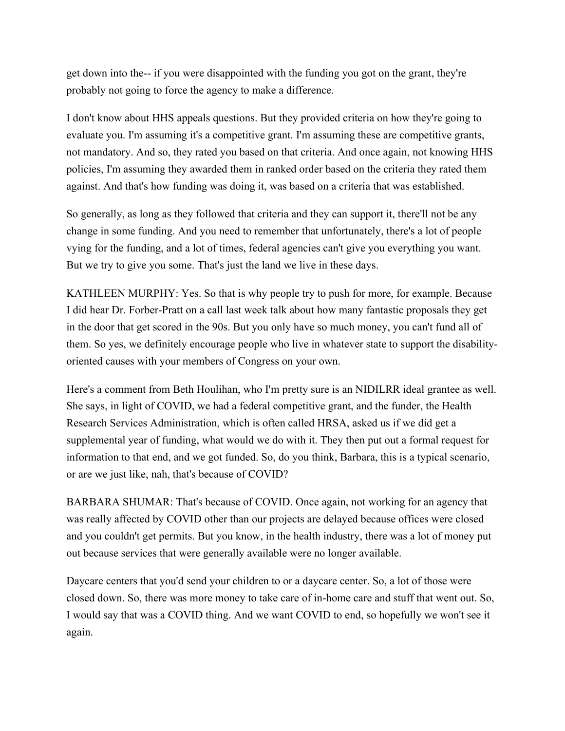get down into the-- if you were disappointed with the funding you got on the grant, they're probably not going to force the agency to make a difference.

I don't know about HHS appeals questions. But they provided criteria on how they're going to evaluate you. I'm assuming it's a competitive grant. I'm assuming these are competitive grants, not mandatory. And so, they rated you based on that criteria. And once again, not knowing HHS policies, I'm assuming they awarded them in ranked order based on the criteria they rated them against. And that's how funding was doing it, was based on a criteria that was established.

So generally, as long as they followed that criteria and they can support it, there'll not be any change in some funding. And you need to remember that unfortunately, there's a lot of people vying for the funding, and a lot of times, federal agencies can't give you everything you want. But we try to give you some. That's just the land we live in these days.

KATHLEEN MURPHY: Yes. So that is why people try to push for more, for example. Because I did hear Dr. Forber-Pratt on a call last week talk about how many fantastic proposals they get in the door that get scored in the 90s. But you only have so much money, you can't fund all of them. So yes, we definitely encourage people who live in whatever state to support the disabilityoriented causes with your members of Congress on your own.

Here's a comment from Beth Houlihan, who I'm pretty sure is an NIDILRR ideal grantee as well. She says, in light of COVID, we had a federal competitive grant, and the funder, the Health Research Services Administration, which is often called HRSA, asked us if we did get a supplemental year of funding, what would we do with it. They then put out a formal request for information to that end, and we got funded. So, do you think, Barbara, this is a typical scenario, or are we just like, nah, that's because of COVID?

BARBARA SHUMAR: That's because of COVID. Once again, not working for an agency that was really affected by COVID other than our projects are delayed because offices were closed and you couldn't get permits. But you know, in the health industry, there was a lot of money put out because services that were generally available were no longer available.

Daycare centers that you'd send your children to or a daycare center. So, a lot of those were closed down. So, there was more money to take care of in-home care and stuff that went out. So, I would say that was a COVID thing. And we want COVID to end, so hopefully we won't see it again.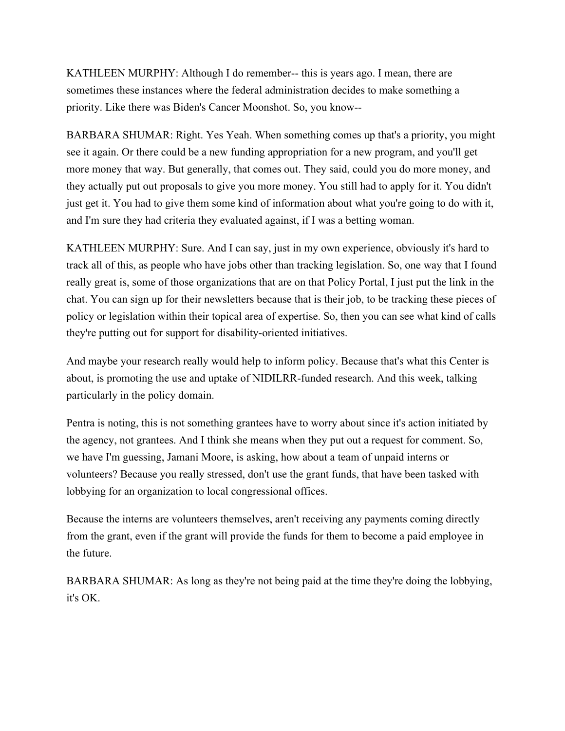KATHLEEN MURPHY: Although I do remember-- this is years ago. I mean, there are sometimes these instances where the federal administration decides to make something a priority. Like there was Biden's Cancer Moonshot. So, you know--

BARBARA SHUMAR: Right. Yes Yeah. When something comes up that's a priority, you might see it again. Or there could be a new funding appropriation for a new program, and you'll get more money that way. But generally, that comes out. They said, could you do more money, and they actually put out proposals to give you more money. You still had to apply for it. You didn't just get it. You had to give them some kind of information about what you're going to do with it, and I'm sure they had criteria they evaluated against, if I was a betting woman.

KATHLEEN MURPHY: Sure. And I can say, just in my own experience, obviously it's hard to track all of this, as people who have jobs other than tracking legislation. So, one way that I found really great is, some of those organizations that are on that Policy Portal, I just put the link in the chat. You can sign up for their newsletters because that is their job, to be tracking these pieces of policy or legislation within their topical area of expertise. So, then you can see what kind of calls they're putting out for support for disability-oriented initiatives.

And maybe your research really would help to inform policy. Because that's what this Center is about, is promoting the use and uptake of NIDILRR-funded research. And this week, talking particularly in the policy domain.

Pentra is noting, this is not something grantees have to worry about since it's action initiated by the agency, not grantees. And I think she means when they put out a request for comment. So, we have I'm guessing, Jamani Moore, is asking, how about a team of unpaid interns or volunteers? Because you really stressed, don't use the grant funds, that have been tasked with lobbying for an organization to local congressional offices.

Because the interns are volunteers themselves, aren't receiving any payments coming directly from the grant, even if the grant will provide the funds for them to become a paid employee in the future.

BARBARA SHUMAR: As long as they're not being paid at the time they're doing the lobbying, it's OK.